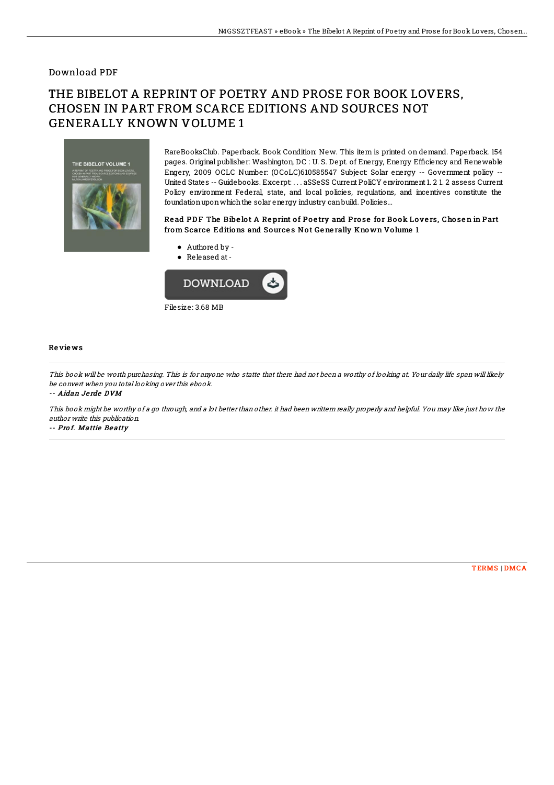### Download PDF

# THE BIBELOT A REPRINT OF POETRY AND PROSE FOR BOOK LOVERS, CHOSEN IN PART FROM SCARCE EDITIONS AND SOURCES NOT GENERALLY KNOWN VOLUME 1



RareBooksClub. Paperback. Book Condition: New. This item is printed on demand. Paperback. 154 pages. Original publisher: Washington, DC : U.S. Dept. of Energy, Energy Efficiency and Renewable Engery, 2009 OCLC Number: (OCoLC)610585547 Subject: Solar energy -- Government policy -- United States -- Guidebooks. Excerpt: . . . aSSeSS Current PoliCY environment 1. 2 1. 2 assess Current Policy environment Federal, state, and local policies, regulations, and incentives constitute the foundationuponwhichthe solar energy industry canbuild. Policies...

#### Read PDF The Bibelot A Reprint of Poetry and Prose for Book Lovers, Chosen in Part from Scarce Editions and Sources Not Generally Known Volume 1

- Authored by -
- Released at-



#### Re vie ws

This book will be worth purchasing. This is for anyone who statte that there had not been <sup>a</sup> worthy of looking at. Your daily life span will likely be convert when you total looking over this ebook.

-- Aidan Je rde DVM

This book might be worthy of <sup>a</sup> go through, and <sup>a</sup> lot better than other. it had been writtern really properly and helpful. You may like just how the author write this publication.

-- Prof. Mattie Beatty